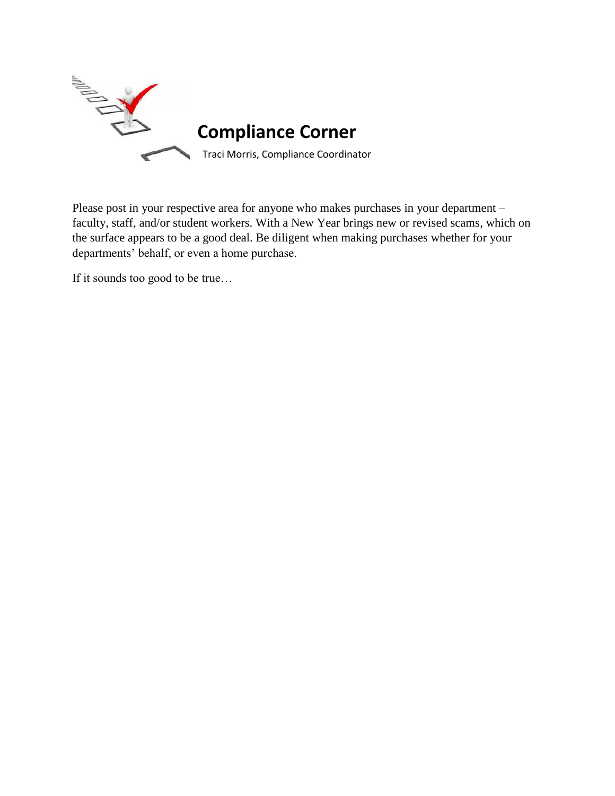

Please post in your respective area for anyone who makes purchases in your department – faculty, staff, and/or student workers. With a New Year brings new or revised scams, which on the surface appears to be a good deal. Be diligent when making purchases whether for your departments' behalf, or even a home purchase.

If it sounds too good to be true...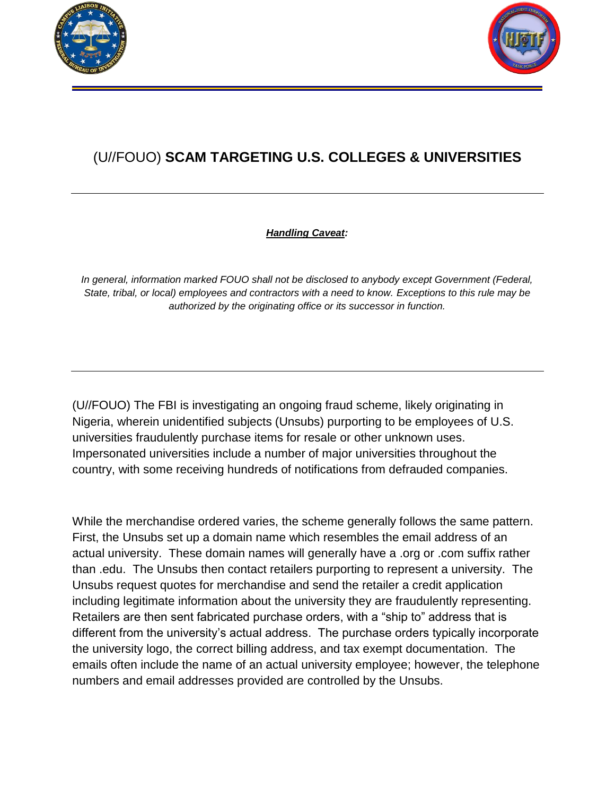



## (U//FOUO) **SCAM TARGETING U.S. COLLEGES & UNIVERSITIES**

## *Handling Caveat:*

In general, information marked FOUO shall not be disclosed to anybody except Government (Federal, *State, tribal, or local) employees and contractors with a need to know. Exceptions to this rule may be authorized by the originating office or its successor in function.*

(U//FOUO) The FBI is investigating an ongoing fraud scheme, likely originating in Nigeria, wherein unidentified subjects (Unsubs) purporting to be employees of U.S. universities fraudulently purchase items for resale or other unknown uses. Impersonated universities include a number of major universities throughout the country, with some receiving hundreds of notifications from defrauded companies.

While the merchandise ordered varies, the scheme generally follows the same pattern. First, the Unsubs set up a domain name which resembles the email address of an actual university. These domain names will generally have a .org or .com suffix rather than .edu. The Unsubs then contact retailers purporting to represent a university. The Unsubs request quotes for merchandise and send the retailer a credit application including legitimate information about the university they are fraudulently representing. Retailers are then sent fabricated purchase orders, with a "ship to" address that is different from the university's actual address. The purchase orders typically incorporate the university logo, the correct billing address, and tax exempt documentation. The emails often include the name of an actual university employee; however, the telephone numbers and email addresses provided are controlled by the Unsubs.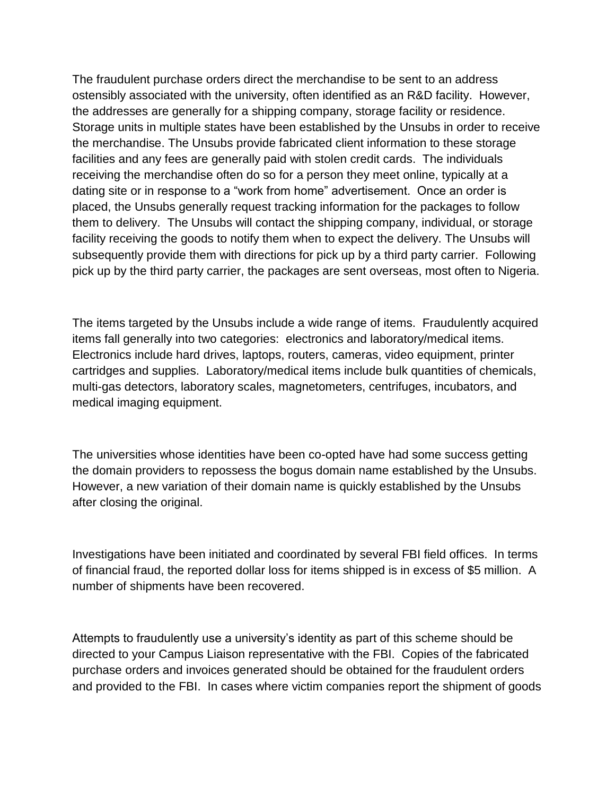The fraudulent purchase orders direct the merchandise to be sent to an address ostensibly associated with the university, often identified as an R&D facility. However, the addresses are generally for a shipping company, storage facility or residence. Storage units in multiple states have been established by the Unsubs in order to receive the merchandise. The Unsubs provide fabricated client information to these storage facilities and any fees are generally paid with stolen credit cards. The individuals receiving the merchandise often do so for a person they meet online, typically at a dating site or in response to a "work from home" advertisement. Once an order is placed, the Unsubs generally request tracking information for the packages to follow them to delivery. The Unsubs will contact the shipping company, individual, or storage facility receiving the goods to notify them when to expect the delivery. The Unsubs will subsequently provide them with directions for pick up by a third party carrier. Following pick up by the third party carrier, the packages are sent overseas, most often to Nigeria.

The items targeted by the Unsubs include a wide range of items. Fraudulently acquired items fall generally into two categories: electronics and laboratory/medical items. Electronics include hard drives, laptops, routers, cameras, video equipment, printer cartridges and supplies. Laboratory/medical items include bulk quantities of chemicals, multi-gas detectors, laboratory scales, magnetometers, centrifuges, incubators, and medical imaging equipment.

The universities whose identities have been co-opted have had some success getting the domain providers to repossess the bogus domain name established by the Unsubs. However, a new variation of their domain name is quickly established by the Unsubs after closing the original.

Investigations have been initiated and coordinated by several FBI field offices. In terms of financial fraud, the reported dollar loss for items shipped is in excess of \$5 million. A number of shipments have been recovered.

Attempts to fraudulently use a university's identity as part of this scheme should be directed to your Campus Liaison representative with the FBI. Copies of the fabricated purchase orders and invoices generated should be obtained for the fraudulent orders and provided to the FBI. In cases where victim companies report the shipment of goods